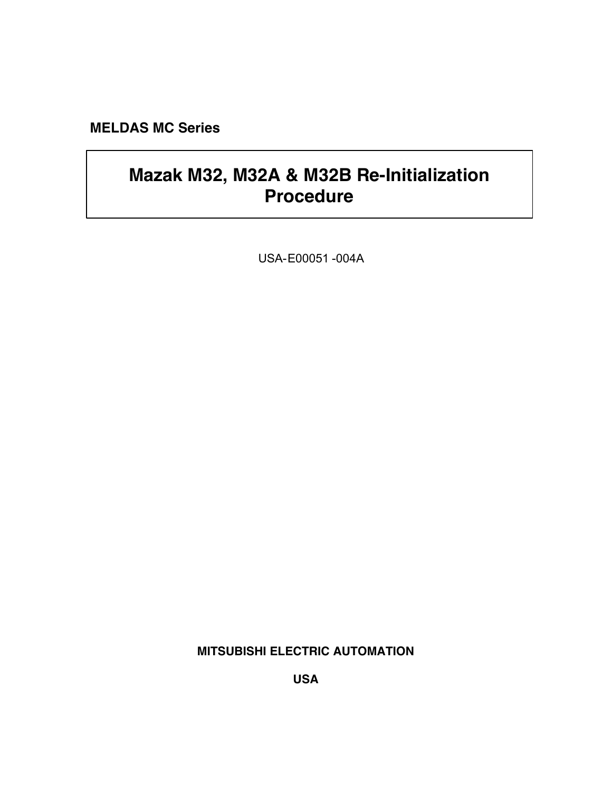**MELDAS MC Series**

# **Mazak M32, M32A & M32B Re-Initialization Procedure**

USA-E00051 -004A

**MITSUBISHI ELECTRIC AUTOMATION**

**USA**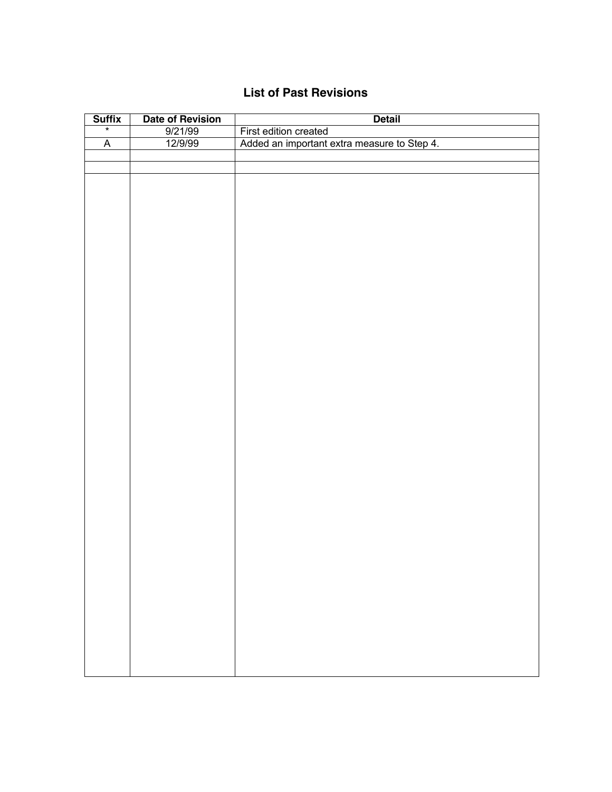## **List of Past Revisions**

| $\frac{\text{Suffix}}{\text{min}}$ | <b>Date of Revision</b> | <b>Detail</b>                               |
|------------------------------------|-------------------------|---------------------------------------------|
|                                    | 9/21/99                 | First edition created                       |
| $\overline{A}$                     | 12/9/99                 | Added an important extra measure to Step 4. |
|                                    |                         |                                             |
|                                    |                         |                                             |
|                                    |                         |                                             |
|                                    |                         |                                             |
|                                    |                         |                                             |
|                                    |                         |                                             |
|                                    |                         |                                             |
|                                    |                         |                                             |
|                                    |                         |                                             |
|                                    |                         |                                             |
|                                    |                         |                                             |
|                                    |                         |                                             |
|                                    |                         |                                             |
|                                    |                         |                                             |
|                                    |                         |                                             |
|                                    |                         |                                             |
|                                    |                         |                                             |
|                                    |                         |                                             |
|                                    |                         |                                             |
|                                    |                         |                                             |
|                                    |                         |                                             |
|                                    |                         |                                             |
|                                    |                         |                                             |
|                                    |                         |                                             |
|                                    |                         |                                             |
|                                    |                         |                                             |
|                                    |                         |                                             |
|                                    |                         |                                             |
|                                    |                         |                                             |
|                                    |                         |                                             |
|                                    |                         |                                             |
|                                    |                         |                                             |
|                                    |                         |                                             |
|                                    |                         |                                             |
|                                    |                         |                                             |
|                                    |                         |                                             |
|                                    |                         |                                             |
|                                    |                         |                                             |
|                                    |                         |                                             |
|                                    |                         |                                             |
|                                    |                         |                                             |
|                                    |                         |                                             |
|                                    |                         |                                             |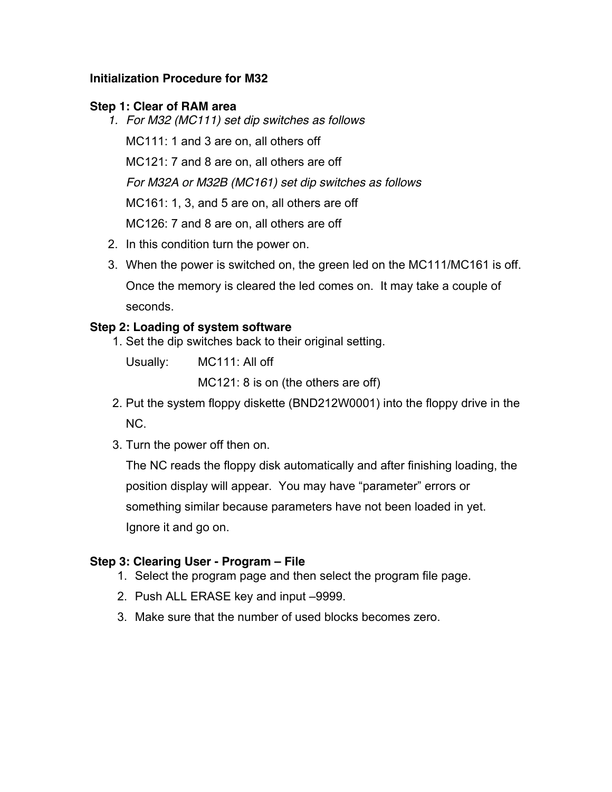## **Initialization Procedure for M32**

## **Step 1: Clear of RAM area**

*1. For M32 (MC111) set dip switches as follows* MC111: 1 and 3 are on, all others off MC121: 7 and 8 are on, all others are off *For M32A or M32B (MC161) set dip switches as follows* MC161: 1, 3, and 5 are on, all others are off MC126: 7 and 8 are on, all others are off

- 2. In this condition turn the power on.
- 3. When the power is switched on, the green led on the MC111/MC161 is off. Once the memory is cleared the led comes on. It may take a couple of seconds.

## **Step 2: Loading of system software**

1. Set the dip switches back to their original setting.

Usually: MC111: All off

MC121: 8 is on (the others are off)

- 2. Put the system floppy diskette (BND212W0001) into the floppy drive in the NC.
- 3. Turn the power off then on.

The NC reads the floppy disk automatically and after finishing loading, the position display will appear. You may have "parameter" errors or something similar because parameters have not been loaded in yet. Ignore it and go on.

#### **Step 3: Clearing User - Program – File**

- 1. Select the program page and then select the program file page.
- 2. Push ALL ERASE key and input –9999.
- 3. Make sure that the number of used blocks becomes zero.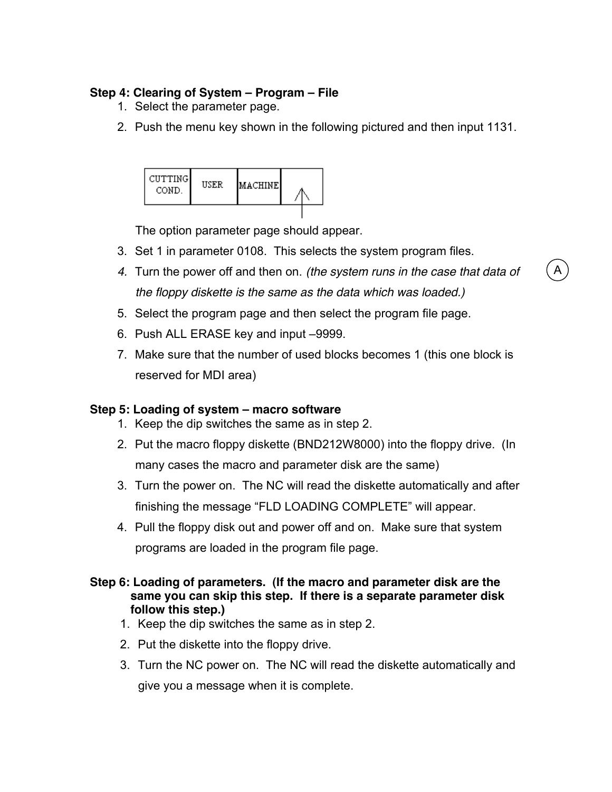## **Step 4: Clearing of System – Program – File**

- 1. Select the parameter page.
- 2. Push the menu key shown in the following pictured and then input 1131.



The option parameter page should appear.

- 3. Set 1 in parameter 0108. This selects the system program files.
- *4.* Turn the power off and then on. *(the system runs in the case that data of the floppy diskette is the same as the data which was loaded.)*
- 5. Select the program page and then select the program file page.
- 6. Push ALL ERASE key and input –9999.
- 7. Make sure that the number of used blocks becomes 1 (this one block is reserved for MDI area)

## **Step 5: Loading of system – macro software**

- 1. Keep the dip switches the same as in step 2.
- 2. Put the macro floppy diskette (BND212W8000) into the floppy drive. (In many cases the macro and parameter disk are the same)
- 3. Turn the power on. The NC will read the diskette automatically and after finishing the message "FLD LOADING COMPLETE" will appear.
- 4. Pull the floppy disk out and power off and on. Make sure that system programs are loaded in the program file page.

#### **Step 6: Loading of parameters. (If the macro and parameter disk are the same you can skip this step. If there is a separate parameter disk follow this step.)**

- 1. Keep the dip switches the same as in step 2.
- 2. Put the diskette into the floppy drive.
- 3. Turn the NC power on. The NC will read the diskette automatically and give you a message when it is complete.

A